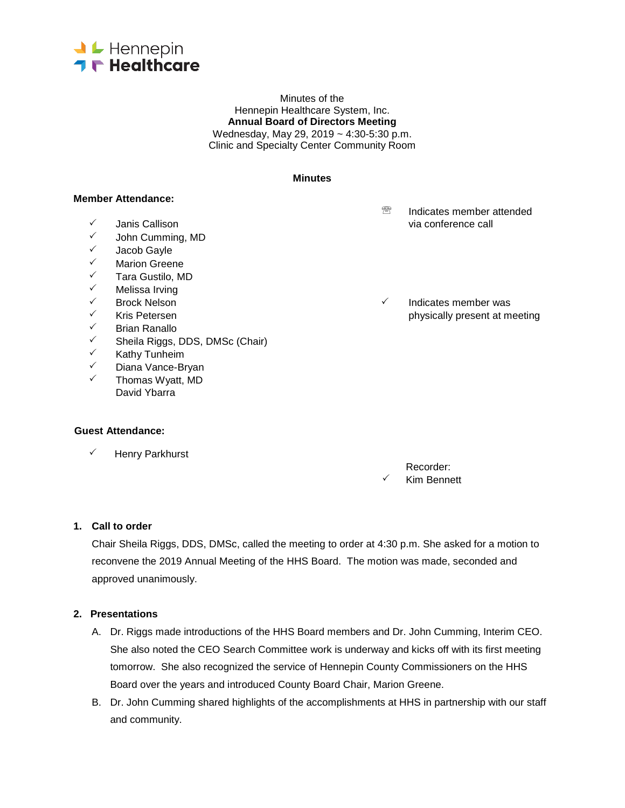

Minutes of the Hennepin Healthcare System, Inc. **Annual Board of Directors Meeting** Wednesday, May 29, 2019 ~ 4:30-5:30 p.m. Clinic and Specialty Center Community Room

#### **Minutes**

### **Member Attendance:**

- 
- John Cumming, MD
- $\checkmark$  Jacob Gayle
- V Marion Greene<br>V Tara Gustilo M
- ✓ Tara Gustilo, MD<br>✓ Melissa Irving
- ✓ Melissa Irving<br>✓ Rrock Nelson
- 
- 
- Brian Ranallo
- <del>V</del> Sheila Riggs, DDS, DMSc (Chair)<br>V Kathy Tunheim
- V Kathy Tunheim<br>V Diana Vance-Br
- Diana Vance-Bryan
- $\checkmark$  Thomas Wyatt, MD David Ybarra

#### **Guest Attendance:**

 $\checkmark$  Henry Parkhurst

**<sup><sup>®</sup>** Indicates member attended</sup>  $\checkmark$  Janis Callison via conference call via conference call via conference call via conference call via conference call via  $\checkmark$ 

 $\checkmark$  Brock Nelson  $\checkmark$  Indicates member was  $\checkmark$  Indicates member was  $\checkmark$  Indicates member was  $\checkmark$  $\checkmark$  Kris Petersen physically present at meeting physically present at meeting physically present at meeting  $\checkmark$ 

> Recorder: Kim Bennett

#### **1. Call to order**

Chair Sheila Riggs, DDS, DMSc, called the meeting to order at 4:30 p.m. She asked for a motion to reconvene the 2019 Annual Meeting of the HHS Board. The motion was made, seconded and approved unanimously.

#### **2. Presentations**

- A. Dr. Riggs made introductions of the HHS Board members and Dr. John Cumming, Interim CEO. She also noted the CEO Search Committee work is underway and kicks off with its first meeting tomorrow. She also recognized the service of Hennepin County Commissioners on the HHS Board over the years and introduced County Board Chair, Marion Greene.
- B. Dr. John Cumming shared highlights of the accomplishments at HHS in partnership with our staff and community.